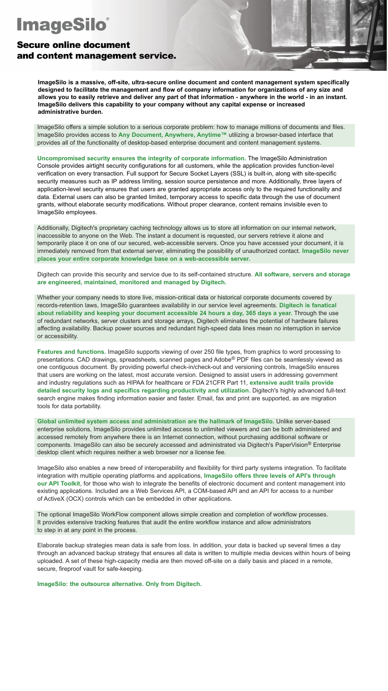# **ImageSilo**®

## **Secure online document** and content management service.

**ImageSilo is a massive, off-site, ultra-secure online document and content management system specifically designed to facilitate the management and flow of company information for organizations of any size and allows you to easily retrieve and deliver any part of that information - anywhere in the world - in an instant. ImageSilo delivers this capability to your company without any capital expense or increased administrative burden.**

ImageSilo offers a simple solution to a serious corporate problem: how to manage millions of documents and files. ImageSilo provides access to Any Document, Anywhere, Anytime<sup>™</sup> utilizing a browser-based interface that provides all of the functionality of desktop-based enterprise document and content management systems.

**Uncompromised security ensures the integrity of corporate information.** The ImageSilo Administration Console provides airtight security configurations for all customers, while the application provides function-level verification on every transaction. Full support for Secure Socket Layers (SSL) is built-in, along with site-specific security measures such as IP address limiting, session source persistence and more. Additionally, three layers of application-level security ensures that users are granted appropriate access only to the required functionality and data. External users can also be granted limited, temporary access to specific data through the use of document grants, without elaborate security modifications. Without proper clearance, content remains invisible even to ImageSilo employees.

Additionally, Digitech's proprietary caching technology allows us to store all information on our internal network, inaccessible to anyone on the Web. The instant a document is requested, our servers retrieve it alone and temporarily place it on one of our secured, web-accessible servers. Once you have accessed your document, it is immediately removed from that external server, eliminating the possibility of unauthorized contact. **ImageSilo never places your entire corporate knowledge base on a web-accessible server.**

Digitech can provide this security and service due to its self-contained structure. **All software, servers and storage are engineered, maintained, monitored and managed by Digitech.**

Whether your company needs to store live, mission-critical data or historical corporate documents covered by records-retention laws, ImageSilo guarantees availability in our service level agreements. **Digitech is fanatical about reliability and keeping your document accessible 24 hours a day, 365 days a year.** Through the use of redundant networks, server clusters and storage arrays, Digitech eliminates the potential of hardware failures affecting availability. Backup power sources and redundant high-speed data lines mean no interruption in service or accessibility.

**Features and functions.** ImageSilo supports viewing of over 250 file types, from graphics to word processing to presentations. CAD drawings, spreadsheets, scanned pages and Adobe® PDF files can be seamlessly viewed as one contiguous document. By providing powerful check-in/check-out and versioning controls, ImageSilo ensures that users are working on the latest, most accurate version. Designed to assist users in addressing government and industry regulations such as HIPAA for healthcare or FDA 21CFR Part 11, **extensive audit trails provide detailed security logs and specifics regarding productivity and utilization.** Digitech's highly advanced full-text search engine makes finding information easier and faster. Email, fax and print are supported, as are migration tools for data portability.

**Global unlimited system access and administration are the hallmark of ImageSilo.** Unlike server-based enterprise solutions, ImageSilo provides unlimited access to unlimited viewers and can be both administered and accessed remotely from anywhere there is an Internet connection, without purchasing additional software or components. ImageSilo can also be securely accessed and administrated via Digitech's PaperVision® Enterprise desktop client which requires neither a web browser nor a license fee.

ImageSilo also enables a new breed of interoperability and flexibility for third party systems integration. To facilitate integration with multiple operating platforms and applications, **ImageSilo offers three levels of API's through our API Toolkit**, for those who wish to integrate the benefits of electronic document and content management into existing applications. Included are a Web Services API, a COM-based API and an API for access to a number of ActiveX (OCX) controls which can be embedded in other applications.

The optional ImageSilo WorkFlow component allows simple creation and completion of workflow processes. It provides extensive tracking features that audit the entire workflow instance and allow administrators to step in at any point in the process.

Elaborate backup strategies mean data is safe from loss. In addition, your data is backed up several times a day through an advanced backup strategy that ensures all data is written to multiple media devices within hours of being uploaded. A set of these high-capacity media are then moved off-site on a daily basis and placed in a remote, secure, fireproof vault for safe-keeping.

**ImageSilo: the outsource alternative. Only from Digitech.**